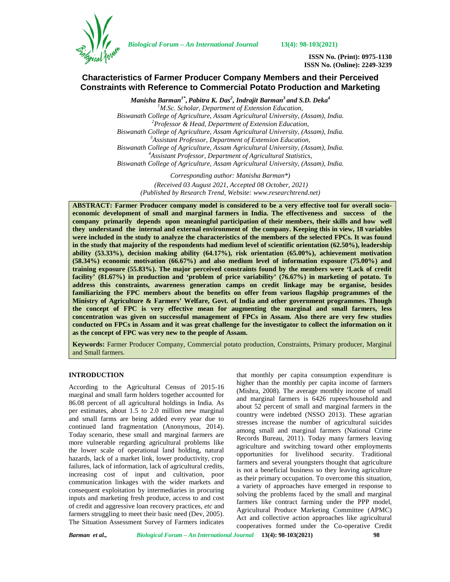

*Biological Forum – An International Journal* **13(4): 98-103(2021)**

**ISSN No. (Print): 0975-1130 ISSN No. (Online): 2249-3239**

# **Characteristics of Farmer Producer Company Members and their Perceived Constraints with Reference to Commercial Potato Production and Marketing**

*Manisha Barman1\* , Pabitra K. Das<sup>2</sup> , Indrajit Barman<sup>3</sup> and S.D. Deka<sup>4</sup> <sup>1</sup>M.Sc. Scholar, Department of Extension Education, Biswanath College of Agriculture, Assam Agricultural University, (Assam), India. <sup>2</sup>Professor & Head, Department of Extension Education, Biswanath College of Agriculture, Assam Agricultural University, (Assam), India. <sup>3</sup>Assistant Professor, Department of Extension Education, Biswanath College of Agriculture, Assam Agricultural University, (Assam), India. <sup>4</sup>Assistant Professor, Department of Agricultural Statistics, Biswanath College of Agriculture, Assam Agricultural University, (Assam), India.*

> *Corresponding author: Manisha Barman\*) (Received 03 August 2021, Accepted 08 October, 2021) (Published by Research Trend, Website: [www.researchtrend.net\)](www.researchtrend.net)*

**ABSTRACT: Farmer Producer company model is considered to be a very effective tool for overall socio economic development of small and marginal farmers in India. The effectiveness and success of the company primarily depends upon meaningful participation of their members, their skills and how well they understand the internal and external environment of the company. Keeping this in view, 18 variables were included in the study to analyze the characteristics of the members of the selected FPCs. It was found in the study that majority of the respondents had medium level of scientific orientation (62.50%), leadership ability (53.33%), decision making ability (64.17%), risk orientation (65.00%), achievement motivation (58.34%) economic motivation (66.67%) and also medium level of information exposure (75.00%) and training exposure (55.83%). The major perceived constraints found by the members were 'Lack of credit facility' (81.67%) in production and 'problem of price variability' (76.67%) in marketing of potato. To address this constraints, awareness generation camps on credit linkage may be organise, besides familiarizing the FPC members about the benefits on offer from various flagship programmes of the Ministry of Agriculture & Farmers' Welfare, Govt. of India and other government programmes. Though the concept of FPC is very effective mean for augmenting the marginal and small farmers, less concentration was given on successful management of FPCs in Assam. Also there are very few studies conducted on FPCs in Assam and it was great challenge for the investigator to collect the information on it as the concept of FPC was very new to the people of Assam.**

**Keywords:** Farmer Producer Company, Commercial potato production, Constraints, Primary producer, Marginal and Small farmers.

## **INTRODUCTION**

According to the Agricultural Census of 2015-16 marginal and small farm holders together accounted for 86.08 percent of all agricultural holdings in India. As per estimates, about 1.5 to 2.0 million new marginal and small farms are being added every year due to continued land fragmentation (Anonymous, 2014). Today scenario, these small and marginal farmers are more vulnerable regarding agricultural problems like the lower scale of operational land holding, natural hazards, lack of a market link, lower productivity, crop failures, lack of information, lack of agricultural credits, increasing cost of input and cultivation, poor communication linkages with the wider markets and consequent exploitation by intermediaries in procuring inputs and marketing fresh produce, access to and cost of credit and aggressive loan recovery practices, *etc* and farmers struggling to meet their basic need (Dev, 2005). The Situation Assessment Survey of Farmers indicates

that monthly per capita consumption expenditure is higher than the monthly per capita income of farmers (Mishra, 2008). The average monthly income of small and marginal farmers is 6426 rupees/household and about 52 percent of small and marginal farmers in the country were indebted (NSSO 2013). These agrarian stresses increase the number of agricultural suicides among small and marginal farmers (National Crime Records Bureau, 2011). Today many farmers leaving agriculture and switching toward other employments opportunities for livelihood security. Traditional farmers and several youngsters thought that agriculture is not a beneficial business so they leaving agriculture as their primary occupation. To overcome this situation, a variety of approaches have emerged in response to solving the problems faced by the small and marginal farmers like contract farming under the PPP model, Agricultural Produce Marketing Committee (APMC) Act and collective action approaches like agricultural cooperatives formed under the Co-operative Credit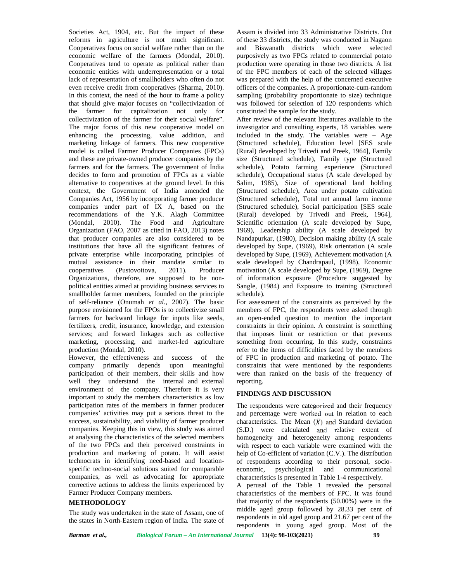Societies Act, 1904, etc. But the impact of these reforms in agriculture is not much significant. Cooperatives focus on social welfare rather than on the economic welfare of the farmers (Mondal, 2010). Cooperatives tend to operate as political rather than economic entities with underrepresentation or a total lack of representation of smallholders who often do not even receive credit from cooperatives (Sharma, 2010). In this context, the need of the hour to frame a policy that should give major focuses on "collectivization of the farmer for capitalization not only for collectivization of the farmer for their social welfare". The major focus of this new cooperative model on enhancing the processing, value addition, and marketing linkage of farmers. This new cooperative model is called Farmer Producer Companies (FPCs) and these are private-owned producer companies by the farmers and for the farmers. The government of India decides to form and promotion of FPCs as a viable alternative to cooperatives at the ground level. In this context, the Government of India amended the Companies Act, 1956 by incorporating farmer producer companies under part of IX A, based on the recommendations of the Y.K. Alagh Committee (Mondal, 2010). The Food and Agriculture Organization (FAO, 2007 as cited in FAO, 2013) notes that producer companies are also considered to be institutions that have all the significant features of private enterprise while incorporating principles of mutual assistance in their mandate similar to cooperatives (Pustovoitova, 2011). Producer Organizations, therefore, are supposed to be non political entities aimed at providing business services to smallholder farmer members, founded on the principle of self-reliance (Onumah *et al*., 2007). The basic purpose envisioned for the FPOs is to collectivize small farmers for backward linkage for inputs like seeds, fertilizers, credit, insurance, knowledge, and extension services; and forward linkages such as collective marketing, processing, and market-led agriculture production (Mondal, 2010).

However, the effectiveness and success of the company primarily depends upon meaningful participation of their members, their skills and how well they understand the internal and external environment of the company. Therefore it is very important to study the members characteristics as low participation rates of the members in farmer producer companies' activities may put a serious threat to the success, sustainability, and viability of farmer producer companies. Keeping this in view, this study was aimed at analysing the characteristics of the selected members of the two FPCs and their perceived constraints in production and marketing of potato. It will assist technocrats in identifying need-based and location specific techno-social solutions suited for comparable economic, companies, as well as advocating for appropriate corrective actions to address the limits experienced by Farmer Producer Company members.

## **METHODOLOGY**

The study was undertaken in the state of Assam, one of the states in North-Eastern region of India. The state of

Assam is divided into 33 Administrative Districts. Out of these 33 districts, the study was conducted in Nagaon and Biswanath districts which were selected purposively as two FPCs related to commercial potato production were operating in those two districts. A list of the FPC members of each of the selected villages was prepared with the help of the concerned executive officers of the companies. A proportionate-cum-random sampling (probability proportionate to size) technique was followed for selection of 120 respondents which constituted the sample for the study.

After review of the relevant literatures available to the investigator and consulting experts, 18 variables were included in the study. The variables were – Age (Structured schedule), Education level [SES scale (Rural) developed by Trivedi and Preek, 1964], Family size (Structured schedule), Family type (Structured schedule), Potato farming experience (Structured schedule), Occupational status (A scale developed by Salim, 1985), Size of operational land holding (Structured schedule), Area under potato cultivation (Structured schedule), Total net annual farm income (Structured schedule), Social participation [SES scale (Rural) developed by Trivedi and Preek, 1964], Scientific orientation (A scale developed by Supe, 1969), Leadership ability (A scale developed by Nandapurkar, (1980), Decision making ability (A scale developed by Supe, (1969), Risk orientation (A scale developed by Supe, (1969), Achievement motivation (A scale developed by Chandrapaul, (1998), Economic motivation (A scale developed by Supe, (1969), Degree of information exposure (Procedure suggested by Sangle, (1984) and Exposure to training (Structured schedule).

For assessment of the constraints as perceived by the members of FPC, the respondents were asked through an open-ended question to mention the important constraints in their opinion. A constraint is something that imposes limit or restriction or that prevents something from occurring. In this study, constraints refer to the items of difficulties faced by the members of FPC in production and marketing of potato. The constraints that were mentioned by the respondents were than ranked on the basis of the frequency of reporting.

## **FINDINGS AND DISCUSSION**

The respondents were categorized and their frequency and percentage were worked out in relation to each characteristics. The Mean  $(\bar{X})$  and Standard deviation (S.D.) were calculated and relative extent of homogeneity and heterogeneity among respondents with respect to each variable were examined with the help of Co-efficient of variation (C.V.). The distribution of respondents according to their personal, socio psychological and communicational characteristics is presented in Table 1-4 respectively. A perusal of the Table 1 revealed the personal

characteristics of the members of FPC. It was found that majority of the respondents (50.00%) were in the middle aged group followed by 28.33 per cent of respondents in old aged group and 21.67 per cent of the respondents in young aged group. Most of the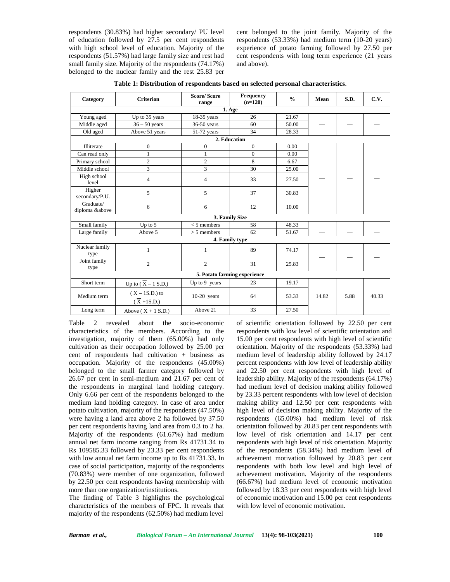respondents (30.83%) had higher secondary/ PU level of education followed by 27.5 per cent respondents with high school level of education. Majority of the respondents (51.57%) had large family size and rest had small family size. Majority of the respondents (74.17%) belonged to the nuclear family and the rest 25.83 per cent belonged to the joint family. Majority of the respondents (53.33%) had medium term (10-20 years) experience of potato farming followed by 27.50 per cent respondents with long term experience (21 years and above).

| Category                    | <b>Criterion</b>                                        | <b>Score/Score</b><br>range | Frequency<br>$(n=120)$       | $\frac{0}{0}$ | Mean  | S.D. | C.V.  |
|-----------------------------|---------------------------------------------------------|-----------------------------|------------------------------|---------------|-------|------|-------|
|                             |                                                         |                             | 1. Age                       |               |       |      |       |
| Young aged                  | Up to 35 years                                          | $18-35$ years               | 26                           | 21.67         |       |      |       |
| Middle aged                 | $36 - 50$ years                                         | $36-50$ years               | 60                           | 50.00         |       |      |       |
| Old aged                    | Above 51 years                                          | $51-72$ years               | 34                           | 28.33         |       |      |       |
|                             |                                                         |                             | 2. Education                 |               |       |      |       |
| Illiterate                  | $\boldsymbol{0}$                                        | $\boldsymbol{0}$            | $\boldsymbol{0}$             | 0.00          |       |      |       |
| Can read only               | $\mathbf{1}$                                            |                             | $\overline{0}$               | 0.00          |       |      |       |
| Primary school              | $\mathfrak{2}$                                          | $\overline{c}$              | 8                            | 6.67          |       |      |       |
| Middle school               | 3                                                       | 3                           | 30                           | 25.00         |       |      |       |
| High school<br>level        | $\overline{4}$                                          | 4                           | 33                           | 27.50         |       |      |       |
| Higher<br>secondary/P.U.    | 5                                                       | 5                           | 37                           | 30.83         |       |      |       |
| Graduate/<br>diploma &above | 6                                                       | 6                           | 12                           | 10.00         |       |      |       |
|                             |                                                         |                             | 3. Family Size               |               |       |      |       |
| Small family                | Up to $5$                                               | $<$ 5 members               | 58                           | 48.33         |       |      |       |
| Large family                | Above 5                                                 | $> 5$ members               | 62                           | 51.67         |       |      |       |
|                             |                                                         |                             | 4. Family type               |               |       |      |       |
| Nuclear family<br>type      | 1                                                       | 1                           | 89                           | 74.17         |       |      |       |
| Joint family<br>type        | $\overline{2}$                                          | $\overline{c}$              | 31                           | 25.83         |       |      |       |
|                             |                                                         |                             | 5. Potato farming experience |               |       |      |       |
| Short term                  | Up to $(\overline{X} - 1 S.D.)$                         | Up to 9 years               | 23                           | 19.17         |       |      |       |
| Medium term                 | $(\overline{X} - 1S.D.)$ to<br>$(\overline{X} + 1S.D.)$ | $10-20$ years               | 64                           | 53.33         | 14.82 | 5.88 | 40.33 |
| Long term                   | Above ( $\overline{X}$ + 1 S.D.)                        | Above 21                    | 33                           | 27.50         |       |      |       |

**Table 1: Distribution of respondents based on selected personal characteristics**.

Table 2 revealed about the socio-economic characteristics of the members. According to the investigation, majority of them (65.00%) had only cultivation as their occupation followed by 25.00 per cent of respondents had cultivation + business as occupation. Majority of the respondents (45.00%) belonged to the small farmer category followed by 26.67 per cent in semi-medium and 21.67 per cent of the respondents in marginal land holding category. Only 6.66 per cent of the respondents belonged to the medium land holding category. In case of area under potato cultivation, majority of the respondents (47.50%) were having a land area above 2 ha followed by 37.50 per cent respondents having land area from 0.3 to 2 ha. Majority of the respondents (61.67%) had medium annual net farm income ranging from Rs 41731.34 to Rs 109585.33 followed by 23.33 per cent respondents with low annual net farm income up to Rs 41731.33. In case of social participation, majority of the respondents (70.83%) were member of one organization, followed by 22.50 per cent respondents having membership with more than one organization/institutions.

The finding of Table 3 highlights the psychological characteristics of the members of FPC. It reveals that majority of the respondents (62.50%) had medium level of scientific orientation followed by 22.50 per cent respondents with low level of scientific orientation and 15.00 per cent respondents with high level of scientific orientation. Majority of the respondents (53.33%) had medium level of leadership ability followed by 24.17 percent respondents with low level of leadership ability and 22.50 per cent respondents with high level of leadership ability. Majority of the respondents (64.17%) had medium level of decision making ability followed by 23.33 percent respondents with low level of decision making ability and 12.50 per cent respondents with high level of decision making ability. Majority of the respondents (65.00%) had medium level of risk orientation followed by 20.83 per cent respondents with low level of risk orientation and 14.17 per cent respondents with high level of risk orientation. Majority of the respondents (58.34%) had medium level of achievement motivation followed by 20.83 per cent respondents with both low level and high level of achievement motivation. Majority of the respondents (66.67%) had medium level of economic motivation followed by 18.33 per cent respondents with high level of economic motivation and 15.00 per cent respondents with low level of economic motivation.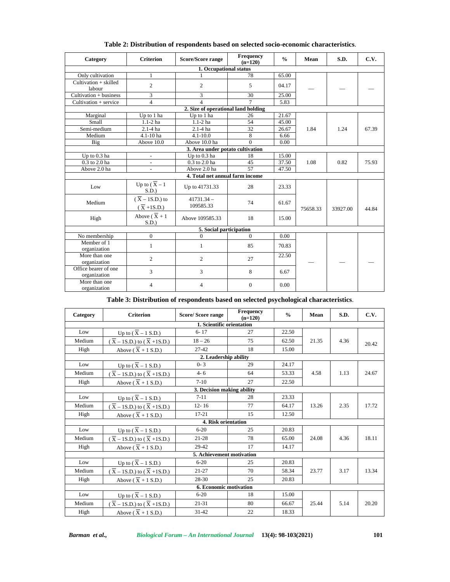| Category                             | <b>Criterion</b>                                        | <b>Score/Score range</b>            | Frequency<br>$(n=120)$ | $\frac{0}{0}$ | Mean     | S.D.     | C.V.  |  |  |  |  |
|--------------------------------------|---------------------------------------------------------|-------------------------------------|------------------------|---------------|----------|----------|-------|--|--|--|--|
|                                      |                                                         | 1. Occupational status              |                        |               |          |          |       |  |  |  |  |
| Only cultivation                     | 1                                                       |                                     | 78                     | 65.00         |          |          |       |  |  |  |  |
| Cultivation + skilled<br>labour      | $\overline{c}$                                          | $\overline{2}$                      | 5                      | 04.17         |          |          |       |  |  |  |  |
| $Cultivation + business$             | 3                                                       | 3                                   | 30                     | 25.00         |          |          |       |  |  |  |  |
| Cultivation + service                | $\overline{4}$                                          | 4                                   | $\tau$                 | 5.83          |          |          |       |  |  |  |  |
|                                      |                                                         | 2. Size of operational land holding |                        |               |          |          |       |  |  |  |  |
| Marginal                             | Up to 1 ha                                              | Up to 1 ha                          | 26                     | 21.67         |          |          |       |  |  |  |  |
| Small                                | $1.1-2$ ha                                              | $1.1-2$ ha                          | 54                     | 45.00         |          |          |       |  |  |  |  |
| Semi-medium                          | $2.1 - 4$ ha                                            | $2.1 - 4$ ha                        | $\overline{32}$        | 26.67         | 1.84     | 1.24     | 67.39 |  |  |  |  |
| Medium                               | 4.1-10 ha                                               | $4.1 - 10.0$                        | 8                      | 6.66          |          |          |       |  |  |  |  |
| Big                                  | Above 10.0                                              | Above 10.0 ha                       | $\Omega$               | 0.00          |          |          |       |  |  |  |  |
|                                      |                                                         | 3. Area under potato cultivation    |                        |               |          |          |       |  |  |  |  |
| Up to 0.3 ha                         | $\overline{\phantom{a}}$                                | Up to $0.3$ ha                      | 18                     | 15.00         |          |          |       |  |  |  |  |
| 0.3 to 2.0 ha                        | $\overline{\phantom{a}}$                                | 0.3 to 2.0 ha                       | 45                     | 37.50         | 1.08     | 0.82     | 75.93 |  |  |  |  |
| Above 2.0 ha                         | $\overline{\phantom{a}}$                                | Above 2.0 ha                        | 57                     | 47.50         |          |          |       |  |  |  |  |
|                                      |                                                         | 4. Total net annual farm income     |                        |               |          |          |       |  |  |  |  |
| Low                                  | Up to $(\overline{X} - 1)$<br>S.D.                      | Up to 41731.33                      | 28                     | 23.33         |          |          |       |  |  |  |  |
| Medium                               | $(\overline{X} - 1S.D.)$ to<br>$(\overline{X} + 1S.D.)$ | $41731.34 -$<br>109585.33           | 74                     | 61.67         | 75658.33 | 33927.00 | 44.84 |  |  |  |  |
| High                                 | Above ( $\overline{X}$ + 1<br>S.D.                      | Above 109585.33                     | 18                     | 15.00         |          |          |       |  |  |  |  |
|                                      |                                                         | 5. Social participation             |                        |               |          |          |       |  |  |  |  |
| No membership                        | $\mathbf{0}$                                            | $\theta$                            | $\Omega$               | 0.00          |          |          |       |  |  |  |  |
| Member of 1<br>organization          | $\mathbf{1}$                                            | $\mathbf{1}$                        | 85                     | 70.83         |          |          |       |  |  |  |  |
| More than one<br>organization        | $\overline{c}$                                          | 2                                   | 27                     | 22.50         |          |          |       |  |  |  |  |
| Office bearer of one<br>organization | 3                                                       | 3                                   | 8                      | 6.67          |          |          |       |  |  |  |  |
| More than one<br>organization        | 4                                                       | 4                                   | $\mathbf{0}$           | 0.00          |          |          |       |  |  |  |  |

**Table 2: Distribution of respondents based on selected socio-economic characteristics**.

**Table 3: Distribution of respondents based on selected psychological characteristics**.

| Category | <b>Criterion</b>                                                                           | <b>Score/Score range</b>   | Frequency<br>$(n=120)$ | $\frac{0}{0}$ | Mean  | S.D. | C.V.  |
|----------|--------------------------------------------------------------------------------------------|----------------------------|------------------------|---------------|-------|------|-------|
|          |                                                                                            | 1. Scientific orientation  |                        |               |       |      |       |
| Low      | Up to $(\overline{X} - 1 S.D.)$                                                            | $6 - 17$                   | 27                     | 22.50         |       |      |       |
| Medium   | $(\overline{X} - 1S.D.)$ to $(\overline{X} + 1S.D.)$                                       | $18 - 26$                  | 75                     | 62.50         | 21.35 | 4.36 | 20.42 |
| High     | Above $(X + 1 S.D.)$                                                                       | $27 - 42$                  | 18                     | 15.00         |       |      |       |
|          |                                                                                            | 2. Leadership ability      |                        |               |       |      |       |
| Low      | Up to $(X - 1 S.D.)$                                                                       | $0 - 3$                    | 29                     | 24.17         |       | 1.13 |       |
| Medium   | $(\overline{X} - 1S.D.)$ to $(\overline{X} + 1S.D.)$                                       | $4 - 6$                    | 64                     | 53.33         | 4.58  |      | 24.67 |
| High     | Above ( $\overline{X}$ + 1 S.D.)                                                           | $7-10$                     | 27                     | 22.50         |       |      |       |
|          |                                                                                            | 3. Decision making ability |                        |               |       |      |       |
| Low      | Up to $(\overline{X} - 1 S.D.)$                                                            | $7 - 11$                   | 28                     | 23.33         |       |      |       |
| Medium   | $(\overline{X} - 1S.D.)$ to $(\overline{X} + 1S.D.)$                                       | $12 - 16$                  | 77                     | 64.17         | 13.26 | 2.35 | 17.72 |
| High     | Above ( $\overline{X}$ + 1 S.D.)                                                           | $17 - 21$                  | 15                     | 12.50         |       |      |       |
|          |                                                                                            | 4. Risk orientation        |                        |               |       |      |       |
| Low      |                                                                                            | $6 - 20$                   | 25                     | 20.83         |       |      |       |
| Medium   | Up to $(\overline{X} - 1 S.D.)$<br>( $\overline{X} - 1 S.D.)$ to $(\overline{X} + 1 S.D.)$ | $21 - 28$                  | 78                     | 65.00         | 24.08 | 4.36 | 18.11 |
| High     | Above $(X + 1 S.D.)$                                                                       | 29-42                      | 17                     | 14.17         |       |      |       |
|          |                                                                                            | 5. Achievement motivation  |                        |               |       |      |       |
| Low      | Up to $(\overline{X} - 1 S.D.)$                                                            | $6 - 20$                   | 25                     | 20.83         |       |      |       |
| Medium   | $(\overline{X} - 1S.D.)$ to $(\overline{X} + 1S.D.)$                                       | $21 - 27$                  | 70                     | 58.34         | 23.77 | 3.17 | 13.34 |
| High     | Above $(X + 1 S.D.)$                                                                       | 28-30                      | 25                     | 20.83         |       |      |       |
|          |                                                                                            | 6. Economic motivation     |                        |               |       |      |       |
| Low      | Up to $(\overline{X} - 1 S.D.)$                                                            | $6 - 20$                   | 18                     | 15.00         |       |      |       |
| Medium   | $(\bar{X} - 1S.D.)$ to $(\bar{X} + 1S.D.)$                                                 | $21 - 31$                  | 80                     | 66.67         | 25.44 | 5.14 | 20.20 |
| High     | Above ( $\overline{X}$ + 1 S.D.)                                                           | $31 - 42$                  | 22                     | 18.33         |       |      |       |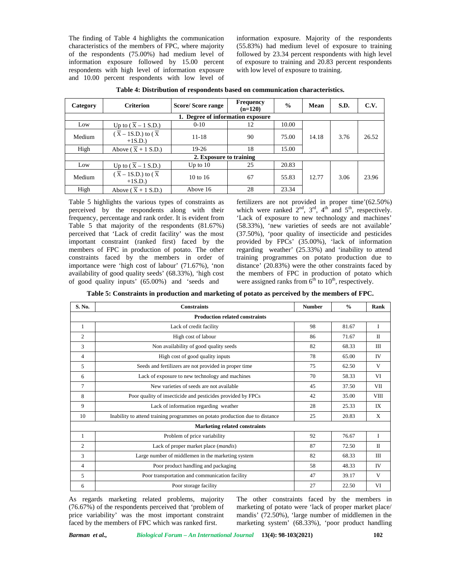The finding of Table 4 highlights the communication characteristics of the members of FPC, where majority of the respondents (75.00%) had medium level of information exposure followed by 15.00 percent respondents with high level of information exposure and 10.00 percent respondents with low level of information exposure. Majority of the respondents (55.83%) had medium level of exposure to training followed by 23.34 percent respondents with high level of exposure to training and 20.83 percent respondents with low level of exposure to training.

| Category | <b>Criterion</b>                                         | <b>Score/Score range</b>          | <b>Frequency</b><br>$(n=120)$ | $\frac{0}{0}$ | Mean  | S.D. | C.V.  |
|----------|----------------------------------------------------------|-----------------------------------|-------------------------------|---------------|-------|------|-------|
|          |                                                          | 1. Degree of information exposure |                               |               |       |      |       |
| Low      | Up to $(X - 1 S.D.)$                                     | $0 - 10$                          | 12                            | 10.00         |       |      |       |
| Medium   | $(\overline{X} - 1S.D.)$ to $(\overline{X})$<br>$+1S.D.$ | $11 - 18$                         | 90                            | 75.00         | 14.18 | 3.76 | 26.52 |
| High     | Above ( $\overline{X}$ + 1 S.D.)                         | $19-26$                           | 18                            | 15.00         |       |      |       |
|          |                                                          | 2. Exposure to training           |                               |               |       |      |       |
| Low      | Up to $(\bar{X} - 1 S.D.)$                               | Up to $10$                        | 25                            | 20.83         |       |      |       |
| Medium   | $(\overline{X} - 1S.D.)$ to $(\overline{X})$<br>$+1S.D.$ | $10 \text{ to } 16$               | 67                            | 55.83         | 12.77 | 3.06 | 23.96 |
| High     | Above $(\overline{X} + 1 S.D.)$                          | Above 16                          | 28                            | 23.34         |       |      |       |

| Table 4: Distribution of respondents based on communication characteristics. |  |
|------------------------------------------------------------------------------|--|
|------------------------------------------------------------------------------|--|

Table 5 highlights the various types of constraints as perceived by the respondents along with their frequency, percentage and rank order. It is evident from Table 5 that majority of the respondents (81.67%) perceived that 'Lack of credit facility' was the most important constraint (ranked first) faced by the members of FPC in production of potato. The other constraints faced by the members in order of importance were 'high cost of labour' (71.67%), 'non availability of good quality seeds' (68.33%), 'high cost of good quality inputs' (65.00%) and 'seeds and

fertilizers are not provided in proper time'(62.50%) which were ranked  $2<sup>nd</sup>$ ,  $3<sup>rd</sup>$ ,  $4<sup>th</sup>$  and  $5<sup>th</sup>$ , respectively. 'Lack of exposure to new technology and machines' (58.33%), 'new varieties of seeds are not available' (37.50%), 'poor quality of insecticide and pesticides provided by FPCs' (35.00%), 'lack of information regarding weather' (25.33%) and 'inability to attend training programmes on potato production due to distance' (20.83%) were the other constraints faced by the members of FPC in production of potato which were assigned ranks from  $\hat{6}^{th}$  to  $10^{th}$ , respectively.

| Table 5: Constraints in production and marketing of potato as perceived by the members of FPC. |  |
|------------------------------------------------------------------------------------------------|--|
|------------------------------------------------------------------------------------------------|--|

| S. No.         | <b>Constraints</b>                                                           | <b>Number</b> | $\frac{0}{0}$ | Rank         |
|----------------|------------------------------------------------------------------------------|---------------|---------------|--------------|
|                | <b>Production related constraints</b>                                        |               |               |              |
| 1              | Lack of credit facility                                                      | 98            | 81.67         | I            |
| $\mathfrak{2}$ | High cost of labour                                                          | 86            | 71.67         | $\mathbf{I}$ |
| 3              | Non availability of good quality seeds                                       | 82            | 68.33         | <b>III</b>   |
| $\overline{4}$ | High cost of good quality inputs                                             | 78            | 65.00         | <b>IV</b>    |
| 5              | Seeds and fertilizers are not provided in proper time                        | 75            | 62.50         | V            |
| 6              | Lack of exposure to new technology and machines                              | 70            | 58.33         | VI           |
| 7              | New varieties of seeds are not available                                     | 45            | 37.50         | VII          |
| 8              | Poor quality of insecticide and pesticides provided by FPCs                  | 42            | 35.00         | <b>VIII</b>  |
| 9              | Lack of information regarding weather                                        | 28            | 25.33         | IX           |
| 10             | Inability to attend training programmes on potato production due to distance | 25            | 20.83         | X            |
|                | <b>Marketing related constraints</b>                                         |               |               |              |
|                | Problem of price variability                                                 | 92            | 76.67         | I            |
| $\overline{c}$ | Lack of proper market place (mandis)                                         | 87            | 72.50         | $\Pi$        |
| 3              | Large number of middlemen in the marketing system                            | 82            | 68.33         | III          |
| 4              | Poor product handling and packaging                                          | 58            | 48.33         | <b>IV</b>    |
| 5              | Poor transportation and communication facility                               | 47            | 39.17         | V            |
| 6              | Poor storage facility                                                        | 27            | 22.50         | VI           |

As regards marketing related problems, majority (76.67%) of the respondents perceived that 'problem of price variability' was the most important constraint faced by the members of FPC which was ranked first.

The other constraints faced by the members in marketing of potato were 'lack of proper market place/ mandis' (72.50%), 'large number of middlemen in the marketing system' (68.33%), 'poor product handling